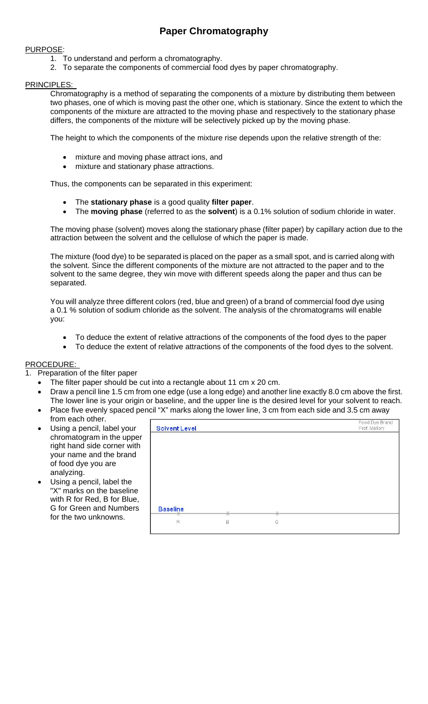# **Paper Chromatography**

#### PURPOSE:

- 1. To understand and perform a chromatography.
- 2. To separate the components of commercial food dyes by paper chromatography.

### PRINCIPLES:

Chromatography is a method of separating the components of a mixture by distributing them between two phases, one of which is moving past the other one, which is stationary. Since the extent to which the components of the mixture are attracted to the moving phase and respectively to the stationary phase differs, the components of the mixture will be selectively picked up by the moving phase.

The height to which the components of the mixture rise depends upon the relative strength of the:

- mixture and moving phase attract ions, and
- mixture and stationary phase attractions.

Thus, the components can be separated in this experiment:

- The **stationary phase** is a good quality **filter paper**.
- The **moving phase** (referred to as the **solvent**) is a 0.1% solution of sodium chloride in water.

The moving phase (solvent) moves along the stationary phase (filter paper) by capillary action due to the attraction between the solvent and the cellulose of which the paper is made.

The mixture (food dye) to be separated is placed on the paper as a small spot, and is carried along with the solvent. Since the different components of the mixture are not attracted to the paper and to the solvent to the same degree, they win move with different speeds along the paper and thus can be separated.

You will analyze three different colors (red, blue and green) of a brand of commercial food dye using a 0.1 % solution of sodium chloride as the solvent. The analysis of the chromatograms will enable you:

- To deduce the extent of relative attractions of the components of the food dyes to the paper
- To deduce the extent of relative attractions of the components of the food dyes to the solvent.

#### PROCEDURE:

- Preparation of the filter paper
	- The filter paper should be cut into a rectangle about 11 cm x 20 cm.
	- Draw a pencil line 1.5 cm from one edge (use a long edge) and another line exactly 8.0 cm above the first. The lower line is your origin or baseline, and the upper line is the desired level for your solvent to reach.
	- Place five evenly spaced pencil "X" marks along the lower line, 3 cm from each side and 3.5 cm away from each other.
	- Using a pencil, label your chromatogram in the upper right hand side corner with your name and the brand of food dye you are analyzing.
	- Using a pencil, label the "X" marks on the baseline with R for Red, B for Blue, G for Green and Numbers for the two unknowns.

| <b>Solvent Level</b>  |   |   | Food Dye Brand<br>Prof. Mallory |
|-----------------------|---|---|---------------------------------|
|                       |   |   |                                 |
|                       |   |   |                                 |
|                       |   |   |                                 |
|                       |   |   |                                 |
|                       |   |   |                                 |
|                       |   |   |                                 |
|                       | ⋇ | ⋇ |                                 |
| <b>Baseline</b><br>77 |   |   |                                 |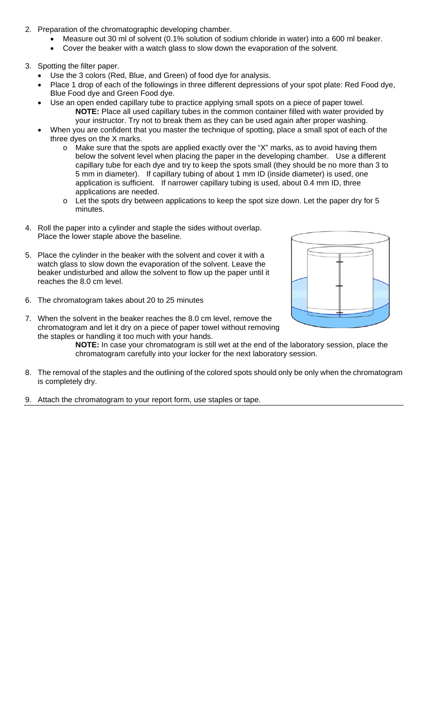- 2. Preparation of the chromatographic developing chamber.
	- Measure out 30 ml of solvent (0.1% solution of sodium chloride in water) into a 600 ml beaker.
	- Cover the beaker with a watch glass to slow down the evaporation of the solvent.
- 3. Spotting the filter paper.
	- Use the 3 colors (Red, Blue, and Green) of food dye for analysis.
	- Place 1 drop of each of the followings in three different depressions of your spot plate: Red Food dye, Blue Food dye and Green Food dye.
	- Use an open ended capillary tube to practice applying small spots on a piece of paper towel. **NOTE:** Place all used capillary tubes in the common container filled with water provided by your instructor. Try not to break them as they can be used again after proper washing.
	- When you are confident that you master the technique of spotting, place a small spot of each of the three dyes on the X marks.
		- $\circ$  Make sure that the spots are applied exactly over the "X" marks, as to avoid having them below the solvent level when placing the paper in the developing chamber. Use a different capillary tube for each dye and try to keep the spots small (they should be no more than 3 to 5 mm in diameter). If capillary tubing of about 1 mm ID (inside diameter) is used, one application is sufficient. If narrower capillary tubing is used, about 0.4 mm ID, three applications are needed.
		- o Let the spots dry between applications to keep the spot size down. Let the paper dry for 5 minutes.
- 4. Roll the paper into a cylinder and staple the sides without overlap. Place the lower staple above the baseline.
- 5. Place the cylinder in the beaker with the solvent and cover it with a watch glass to slow down the evaporation of the solvent. Leave the beaker undisturbed and allow the solvent to flow up the paper until it reaches the 8.0 cm level.
- 6. The chromatogram takes about 20 to 25 minutes



7. When the solvent in the beaker reaches the 8.0 cm level, remove the chromatogram and let it dry on a piece of paper towel without removing the staples or handling it too much with your hands.

**NOTE:** In case your chromatogram is still wet at the end of the laboratory session, place the chromatogram carefully into your locker for the next laboratory session.

- 8. The removal of the staples and the outlining of the colored spots should only be only when the chromatogram is completely dry.
- 9. Attach the chromatogram to your report form, use staples or tape.